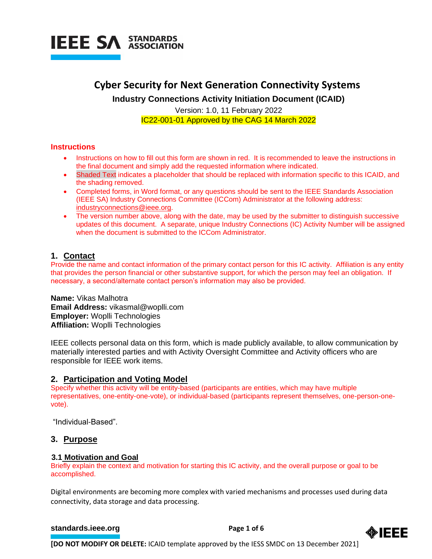

# **Cyber Security for Next Generation Connectivity Systems Industry Connections Activity Initiation Document (ICAID)**

Version: 1.0, 11 February 2022 IC22-001-01 Approved by the CAG 14 March 2022

#### **Instructions**

- Instructions on how to fill out this form are shown in red. It is recommended to leave the instructions in the final document and simply add the requested information where indicated.
- Shaded Text indicates a placeholder that should be replaced with information specific to this ICAID, and the shading removed.
- Completed forms, in Word format, or any questions should be sent to the IEEE Standards Association (IEEE SA) Industry Connections Committee (ICCom) Administrator at the following address: [industryconnections@ieee.org.](mailto:industryconnections@ieee.org)
- The version number above, along with the date, may be used by the submitter to distinguish successive updates of this document. A separate, unique Industry Connections (IC) Activity Number will be assigned when the document is submitted to the ICCom Administrator.

# **1. Contact**

Provide the name and contact information of the primary contact person for this IC activity. Affiliation is any entity that provides the person financial or other substantive support, for which the person may feel an obligation. If necessary, a second/alternate contact person's information may also be provided.

**Name:** Vikas Malhotra **Email Address:** vikasmal@woplli.com **Employer:** Woplli Technologies **Affiliation:** Woplli Technologies

IEEE collects personal data on this form, which is made publicly available, to allow communication by materially interested parties and with Activity Oversight Committee and Activity officers who are responsible for IEEE work items.

# **2. Participation and Voting Model**

Specify whether this activity will be entity-based (participants are entities, which may have multiple representatives, one-entity-one-vote), or individual-based (participants represent themselves, one-person-onevote).

"Individual-Based".

# **3. Purpose**

#### **3.1 Motivation and Goal**

Briefly explain the context and motivation for starting this IC activity, and the overall purpose or goal to be accomplished.

Digital environments are becoming more complex with varied mechanisms and processes used during data connectivity, data storage and data processing.

#### **[standards.ieee.org](http://standards.ieee.org/) example 2 Page 1 of 6**

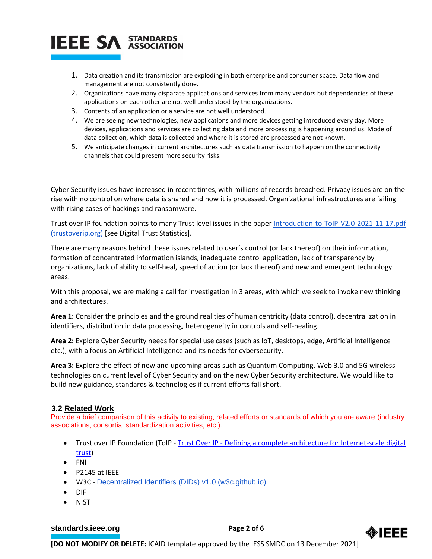# **IEEE SA STANDARDS**

- 1. Data creation and its transmission are exploding in both enterprise and consumer space. Data flow and management are not consistently done.
- 2. Organizations have many disparate applications and services from many vendors but dependencies of these applications on each other are not well understood by the organizations.
- 3. Contents of an application or a service are not well understood.
- 4. We are seeing new technologies, new applications and more devices getting introduced every day. More devices, applications and services are collecting data and more processing is happening around us. Mode of data collection, which data is collected and where it is stored are processed are not known.
- 5. We anticipate changes in current architectures such as data transmission to happen on the connectivity channels that could present more security risks.

Cyber Security issues have increased in recent times, with millions of records breached. Privacy issues are on the rise with no control on where data is shared and how it is processed. Organizational infrastructures are failing with rising cases of hackings and ransomware.

Trust over IP foundation points to many Trust level issues in the paper [Introduction-to-ToIP-V2.0-2021-11-17.pdf](https://trustoverip.org/wp-content/uploads/Introduction-to-ToIP-V2.0-2021-11-17.pdf)  [\(trustoverip.org\)](https://trustoverip.org/wp-content/uploads/Introduction-to-ToIP-V2.0-2021-11-17.pdf) [see Digital Trust Statistics].

There are many reasons behind these issues related to user's control (or lack thereof) on their information, formation of concentrated information islands, inadequate control application, lack of transparency by organizations, lack of ability to self-heal, speed of action (or lack thereof) and new and emergent technology areas.

With this proposal, we are making a call for investigation in 3 areas, with which we seek to invoke new thinking and architectures.

**Area 1:** Consider the principles and the ground realities of human centricity (data control), decentralization in identifiers, distribution in data processing, heterogeneity in controls and self-healing.

**Area 2:** Explore Cyber Security needs for special use cases (such as IoT, desktops, edge, Artificial Intelligence etc.), with a focus on Artificial Intelligence and its needs for cybersecurity.

**Area 3:** Explore the effect of new and upcoming areas such as Quantum Computing, Web 3.0 and 5G wireless technologies on current level of Cyber Security and on the new Cyber Security architecture. We would like to build new guidance, standards & technologies if current efforts fall short.

#### **3.2 Related Work**

Provide a brief comparison of this activity to existing, related efforts or standards of which you are aware (industry associations, consortia, standardization activities, etc.).

- Trust over IP Foundation (ToIP Trust Over IP [Defining a complete architecture for Internet-scale digital](https://trustoverip.org/)  [trust\)](https://trustoverip.org/)
- FNI
- P2145 at IEEE
- W3C [Decentralized Identifiers \(DIDs\) v1.0 \(w3c.github.io\)](https://w3c.github.io/did-core/)
- DIF
- NIST

#### **[standards.ieee.org](http://standards.ieee.org/)**<br> **Page 2 of 6**



**[DO NOT MODIFY OR DELETE:** ICAID template approved by the IESS SMDC on 13 December 2021]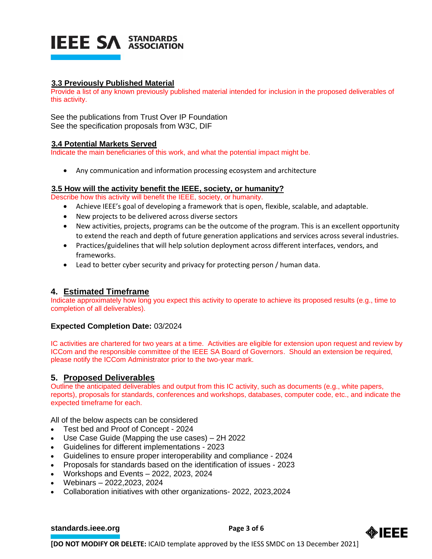

#### **3.3 Previously Published Material**

Provide a list of any known previously published material intended for inclusion in the proposed deliverables of this activity.

See the publications from Trust Over IP Foundation See the specification proposals from W3C, DIF

#### **3.4 Potential Markets Served**

Indicate the main beneficiaries of this work, and what the potential impact might be.

• Any communication and information processing ecosystem and architecture

#### **3.5 How will the activity benefit the IEEE, society, or humanity?**

Describe how this activity will benefit the IEEE, society, or humanity.

- Achieve IEEE's goal of developing a framework that is open, flexible, scalable, and adaptable.
- New projects to be delivered across diverse sectors
- New activities, projects, programs can be the outcome of the program. This is an excellent opportunity to extend the reach and depth of future generation applications and services across several industries.
- Practices/guidelines that will help solution deployment across different interfaces, vendors, and frameworks.
- Lead to better cyber security and privacy for protecting person / human data.

#### **4. Estimated Timeframe**

Indicate approximately how long you expect this activity to operate to achieve its proposed results (e.g., time to completion of all deliverables).

#### **Expected Completion Date:** 03/2024

IC activities are chartered for two years at a time. Activities are eligible for extension upon request and review by ICCom and the responsible committee of the IEEE SA Board of Governors. Should an extension be required, please notify the ICCom Administrator prior to the two-year mark.

# **5. Proposed Deliverables**

Outline the anticipated deliverables and output from this IC activity, such as documents (e.g., white papers, reports), proposals for standards, conferences and workshops, databases, computer code, etc., and indicate the expected timeframe for each.

All of the below aspects can be considered

- Test bed and Proof of Concept 2024
- Use Case Guide (Mapping the use cases) 2H 2022
- Guidelines for different implementations 2023
- Guidelines to ensure proper interoperability and compliance 2024
- Proposals for standards based on the identification of issues 2023
- Workshops and Events 2022, 2023, 2024
- Webinars 2022,2023, 2024
- Collaboration initiatives with other organizations- 2022, 2023,2024

#### **[standards.ieee.org](http://standards.ieee.org/)**<br> **Page 3 of 6**



**[DO NOT MODIFY OR DELETE:** ICAID template approved by the IESS SMDC on 13 December 2021]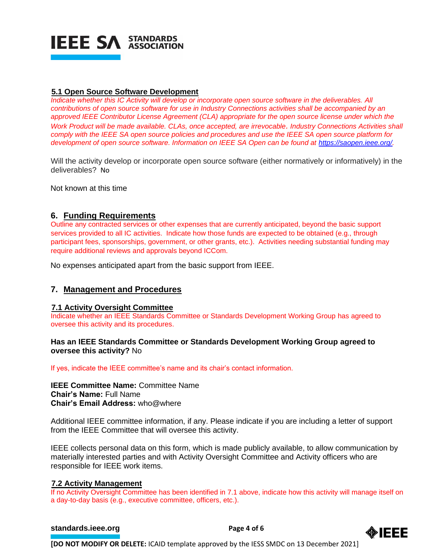

#### **5.1 Open Source Software Development**

*Indicate whether this IC Activity will develop or incorporate open source software in the deliverables. All contributions of open source software for use in Industry Connections activities shall be accompanied by an approved IEEE Contributor License Agreement (CLA) appropriate for the open source license under which the Work Product will be made available. CLAs, once accepted, are irrevocable. Industry Connections Activities shall comply with the IEEE SA open source policies and procedures and use the IEEE SA open source platform for development of open source software. Information on IEEE SA Open can be found at [https://saopen.ieee.org/.](https://saopen.ieee.org/)* 

Will the activity develop or incorporate open source software (either normatively or informatively) in the deliverables? No

Not known at this time

# **6. Funding Requirements**

Outline any contracted services or other expenses that are currently anticipated, beyond the basic support services provided to all IC activities. Indicate how those funds are expected to be obtained (e.g., through participant fees, sponsorships, government, or other grants, etc.). Activities needing substantial funding may require additional reviews and approvals beyond ICCom.

No expenses anticipated apart from the basic support from IEEE.

# **7. Management and Procedures**

#### **7.1 Activity Oversight Committee**

Indicate whether an IEEE Standards Committee or Standards Development Working Group has agreed to oversee this activity and its procedures.

#### **Has an IEEE Standards Committee or Standards Development Working Group agreed to oversee this activity?** No

If yes, indicate the IEEE committee's name and its chair's contact information.

**IEEE Committee Name:** Committee Name **Chair's Name:** Full Name **Chair's Email Address:** who@where

Additional IEEE committee information, if any. Please indicate if you are including a letter of support from the IEEE Committee that will oversee this activity.

IEEE collects personal data on this form, which is made publicly available, to allow communication by materially interested parties and with Activity Oversight Committee and Activity officers who are responsible for IEEE work items.

#### **7.2 Activity Management**

If no Activity Oversight Committee has been identified in 7.1 above, indicate how this activity will manage itself on a day-to-day basis (e.g., executive committee, officers, etc.).

#### **[standards.ieee.org](http://standards.ieee.org/) Brandards.ieee.org Brandards.ieee.org Brandards.ieee.org Brandards.ieee.org Brandards.ieee.org Brandards.ieee.org Brandards.ieee.org Brandards.ieee.org Brandards.ieee.org Brandards.i**



**[DO NOT MODIFY OR DELETE:** ICAID template approved by the IESS SMDC on 13 December 2021]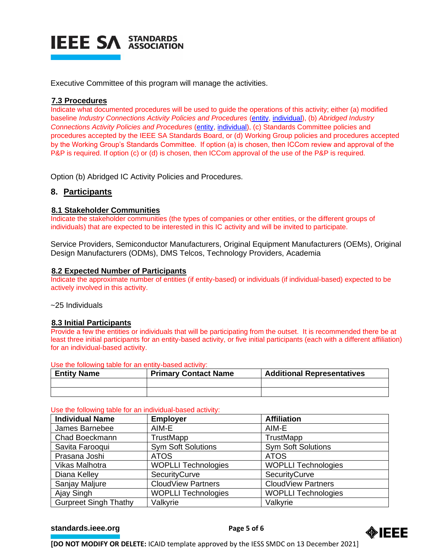

Executive Committee of this program will manage the activities.

#### **7.3 Procedures**

Indicate what documented procedures will be used to guide the operations of this activity; either (a) modified baseline *Industry Connections Activity Policies and Procedures* [\(entity,](https://standards.ieee.org/content/dam/ieee-standards/standards/web/governance/iccom/IC_Activity_PNP_Entity_Baseline.doc) [individual\)](https://standards.ieee.org/content/dam/ieee-standards/standards/web/governance/iccom/IC_Activity_PNP_Individual_Baseline.doc), (b) *Abridged Industry Connections Activity Policies and Procedures* [\(entity,](https://standards.ieee.org/content/dam/ieee-standards/standards/web/governance/iccom/IC_Activity_PP_Abridged_Entity.doc) [individual\)](https://standards.ieee.org/content/dam/ieee-standards/standards/web/governance/iccom/IC_Activity_PP_Abridged_Individual.doc), (c) Standards Committee policies and procedures accepted by the IEEE SA Standards Board, or (d) Working Group policies and procedures accepted by the Working Group's Standards Committee. If option (a) is chosen, then ICCom review and approval of the P&P is required. If option (c) or (d) is chosen, then ICCom approval of the use of the P&P is required.

Option (b) Abridged IC Activity Policies and Procedures.

# **8. Participants**

#### **8.1 Stakeholder Communities**

Indicate the stakeholder communities (the types of companies or other entities, or the different groups of individuals) that are expected to be interested in this IC activity and will be invited to participate.

Service Providers, Semiconductor Manufacturers, Original Equipment Manufacturers (OEMs), Original Design Manufacturers (ODMs), DMS Telcos, Technology Providers, Academia

#### **8.2 Expected Number of Participants**

Indicate the approximate number of entities (if entity-based) or individuals (if individual-based) expected to be actively involved in this activity.

~25 Individuals

#### **8.3 Initial Participants**

Provide a few the entities or individuals that will be participating from the outset. It is recommended there be at least three initial participants for an entity-based activity, or five initial participants (each with a different affiliation) for an individual-based activity.

Use the following table for an entity-based activity:

| <b>Entity Name</b> | <b>Primary Contact Name</b> | <b>Additional Representatives</b> |
|--------------------|-----------------------------|-----------------------------------|
|                    |                             |                                   |
|                    |                             |                                   |

#### Use the following table for an individual-based activity:

| <b>Individual Name</b>       | <b>Employer</b>            | <b>Affiliation</b>         |
|------------------------------|----------------------------|----------------------------|
| James Barnebee               | AIM-E                      | AIM-E                      |
| Chad Boeckmann               | TrustMapp                  | TrustMapp                  |
| Savita Farooqui              | <b>Sym Soft Solutions</b>  | <b>Sym Soft Solutions</b>  |
| Prasana Joshi                | <b>ATOS</b>                | <b>ATOS</b>                |
| <b>Vikas Malhotra</b>        | <b>WOPLLI Technologies</b> | <b>WOPLLI Technologies</b> |
| Diana Kelley                 | SecurityCurve              | SecurityCurve              |
| Sanjay Maljure               | <b>CloudView Partners</b>  | <b>CloudView Partners</b>  |
| Ajay Singh                   | <b>WOPLLI Technologies</b> | <b>WOPLLI Technologies</b> |
| <b>Gurpreet Singh Thathy</b> | Valkyrie                   | Valkyrie                   |

#### **[standards.ieee.org](http://standards.ieee.org/) EXECUTE: Page 5 of 6**